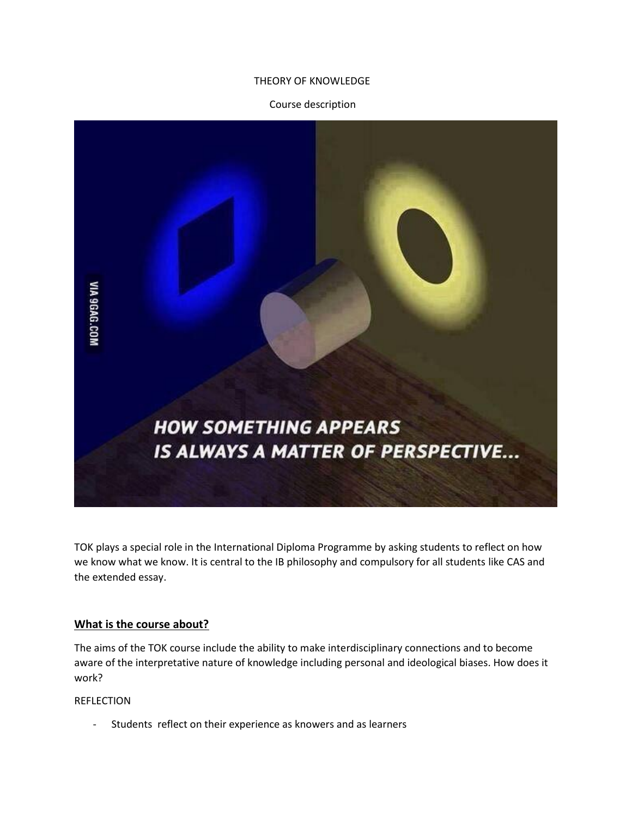## THEORY OF KNOWLEDGE

## Course description



TOK plays a special role in the International Diploma Programme by asking students to reflect on how we know what we know. It is central to the IB philosophy and compulsory for all students like CAS and the extended essay.

### **What is the course about?**

The aims of the TOK course include the ability to make interdisciplinary connections and to become aware of the interpretative nature of knowledge including personal and ideological biases. How does it work?

## **REFLECTION**

Students reflect on their experience as knowers and as learners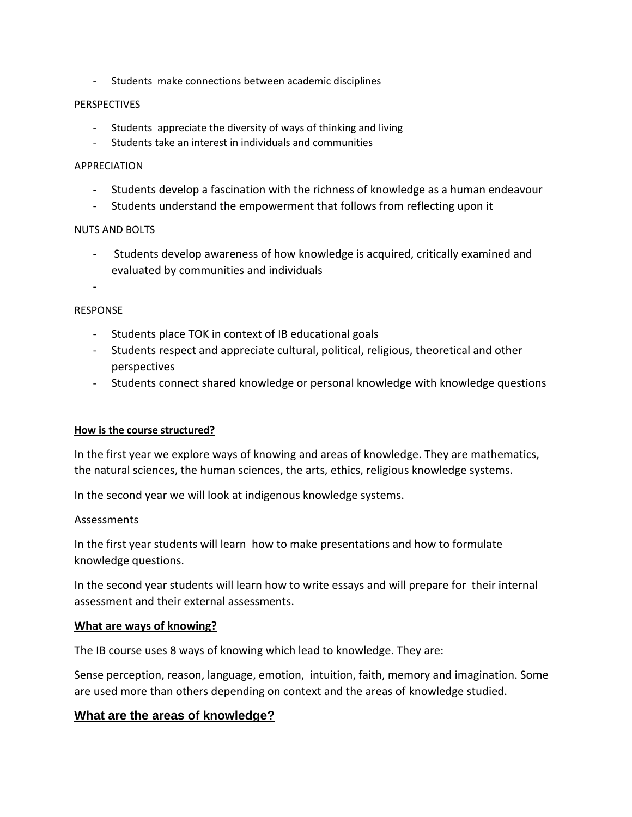- Students make connections between academic disciplines

## **PERSPECTIVES**

- Students appreciate the diversity of ways of thinking and living
- Students take an interest in individuals and communities

### APPRECIATION

- Students develop a fascination with the richness of knowledge as a human endeavour
- Students understand the empowerment that follows from reflecting upon it

## NUTS AND BOLTS

- Students develop awareness of how knowledge is acquired, critically examined and evaluated by communities and individuals

-

## RESPONSE

- Students place TOK in context of IB educational goals
- Students respect and appreciate cultural, political, religious, theoretical and other perspectives
- Students connect shared knowledge or personal knowledge with knowledge questions

# **How is the course structured?**

In the first year we explore ways of knowing and areas of knowledge. They are mathematics, the natural sciences, the human sciences, the arts, ethics, religious knowledge systems.

In the second year we will look at indigenous knowledge systems.

# Assessments

In the first year students will learn how to make presentations and how to formulate knowledge questions.

In the second year students will learn how to write essays and will prepare for their internal assessment and their external assessments.

# **What are ways of knowing?**

The IB course uses 8 ways of knowing which lead to knowledge. They are:

Sense perception, reason, language, emotion, intuition, faith, memory and imagination. Some are used more than others depending on context and the areas of knowledge studied.

# **What are the areas of knowledge?**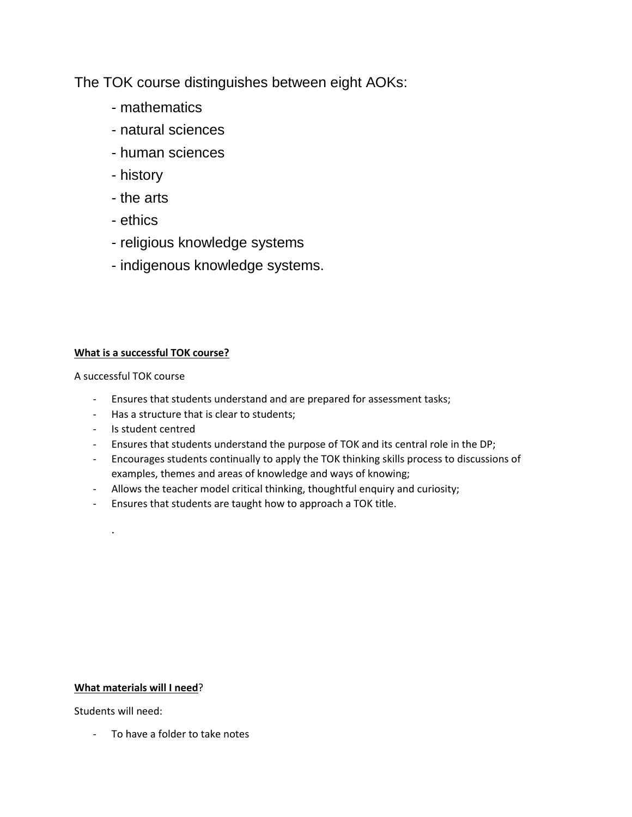The TOK course distinguishes between eight AOKs:

- mathematics
- natural sciences
- human sciences
- history
- the arts
- ethics
- religious knowledge systems
- indigenous knowledge systems.

# **What is a successful TOK course?**

A successful TOK course

- Ensures that students understand and are prepared for assessment tasks;
- Has a structure that is clear to students;
- Is student centred
- Ensures that students understand the purpose of TOK and its central role in the DP;
- Encourages students continually to apply the TOK thinking skills process to discussions of examples, themes and areas of knowledge and ways of knowing;
- Allows the teacher model critical thinking, thoughtful enquiry and curiosity;
- Ensures that students are taught how to approach a TOK title.

# **What materials will I need**?

Students will need:

.

- To have a folder to take notes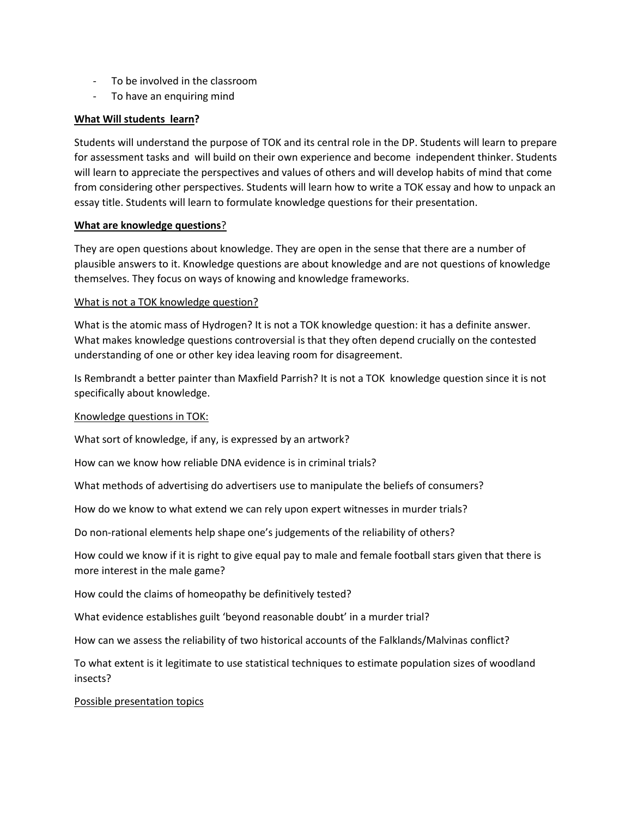- To be involved in the classroom
- To have an enquiring mind

## **What Will students learn?**

Students will understand the purpose of TOK and its central role in the DP. Students will learn to prepare for assessment tasks and will build on their own experience and become independent thinker. Students will learn to appreciate the perspectives and values of others and will develop habits of mind that come from considering other perspectives. Students will learn how to write a TOK essay and how to unpack an essay title. Students will learn to formulate knowledge questions for their presentation.

#### **What are knowledge questions**?

They are open questions about knowledge. They are open in the sense that there are a number of plausible answers to it. Knowledge questions are about knowledge and are not questions of knowledge themselves. They focus on ways of knowing and knowledge frameworks.

### What is not a TOK knowledge question?

What is the atomic mass of Hydrogen? It is not a TOK knowledge question: it has a definite answer. What makes knowledge questions controversial is that they often depend crucially on the contested understanding of one or other key idea leaving room for disagreement.

Is Rembrandt a better painter than Maxfield Parrish? It is not a TOK knowledge question since it is not specifically about knowledge.

### Knowledge questions in TOK:

What sort of knowledge, if any, is expressed by an artwork?

How can we know how reliable DNA evidence is in criminal trials?

What methods of advertising do advertisers use to manipulate the beliefs of consumers?

How do we know to what extend we can rely upon expert witnesses in murder trials?

Do non-rational elements help shape one's judgements of the reliability of others?

How could we know if it is right to give equal pay to male and female football stars given that there is more interest in the male game?

How could the claims of homeopathy be definitively tested?

What evidence establishes guilt 'beyond reasonable doubt' in a murder trial?

How can we assess the reliability of two historical accounts of the Falklands/Malvinas conflict?

To what extent is it legitimate to use statistical techniques to estimate population sizes of woodland insects?

#### Possible presentation topics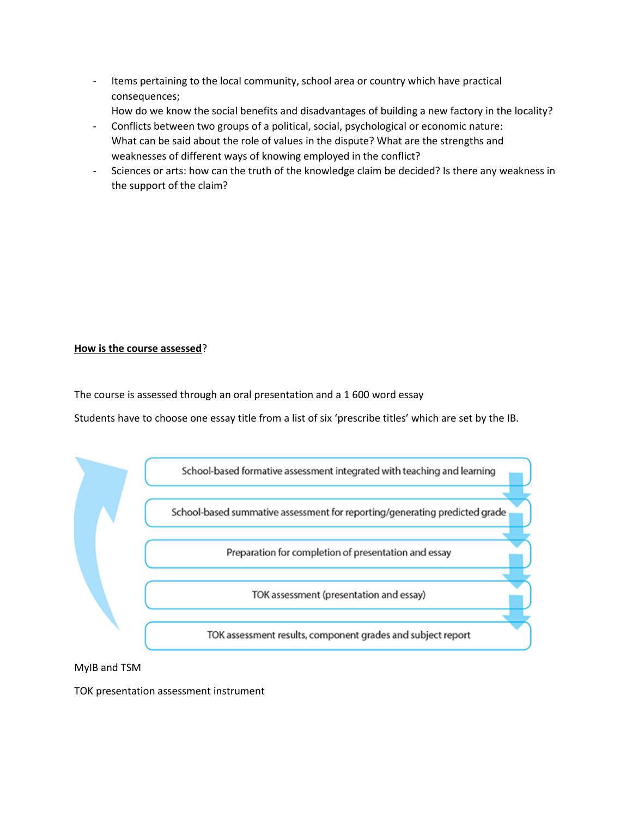- Items pertaining to the local community, school area or country which have practical consequences;
	- How do we know the social benefits and disadvantages of building a new factory in the locality?
- Conflicts between two groups of a political, social, psychological or economic nature: What can be said about the role of values in the dispute? What are the strengths and weaknesses of different ways of knowing employed in the conflict?
- Sciences or arts: how can the truth of the knowledge claim be decided? Is there any weakness in the support of the claim?

### **How is the course assessed**?

The course is assessed through an oral presentation and a 1 600 word essay

Students have to choose one essay title from a list of six 'prescribe titles' which are set by the IB.



MyIB and TSM

TOK presentation assessment instrument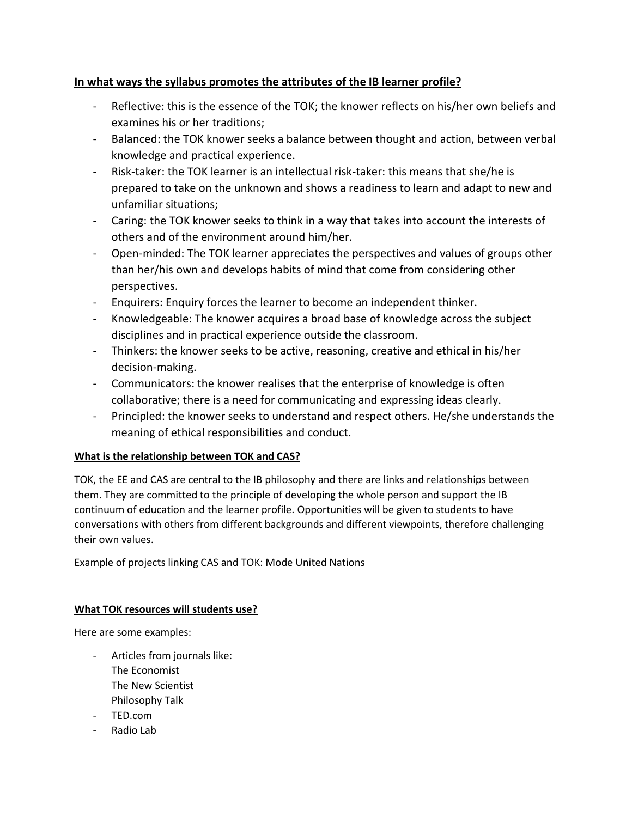# **In what ways the syllabus promotes the attributes of the IB learner profile?**

- Reflective: this is the essence of the TOK; the knower reflects on his/her own beliefs and examines his or her traditions;
- Balanced: the TOK knower seeks a balance between thought and action, between verbal knowledge and practical experience.
- Risk-taker: the TOK learner is an intellectual risk-taker: this means that she/he is prepared to take on the unknown and shows a readiness to learn and adapt to new and unfamiliar situations;
- Caring: the TOK knower seeks to think in a way that takes into account the interests of others and of the environment around him/her.
- Open-minded: The TOK learner appreciates the perspectives and values of groups other than her/his own and develops habits of mind that come from considering other perspectives.
- Enquirers: Enquiry forces the learner to become an independent thinker.
- Knowledgeable: The knower acquires a broad base of knowledge across the subject disciplines and in practical experience outside the classroom.
- Thinkers: the knower seeks to be active, reasoning, creative and ethical in his/her decision-making.
- Communicators: the knower realises that the enterprise of knowledge is often collaborative; there is a need for communicating and expressing ideas clearly.
- Principled: the knower seeks to understand and respect others. He/she understands the meaning of ethical responsibilities and conduct.

# **What is the relationship between TOK and CAS?**

TOK, the EE and CAS are central to the IB philosophy and there are links and relationships between them. They are committed to the principle of developing the whole person and support the IB continuum of education and the learner profile. Opportunities will be given to students to have conversations with others from different backgrounds and different viewpoints, therefore challenging their own values.

Example of projects linking CAS and TOK: Mode United Nations

# **What TOK resources will students use?**

Here are some examples:

- Articles from journals like: The Economist The New Scientist Philosophy Talk
- TED.com
- Radio Lab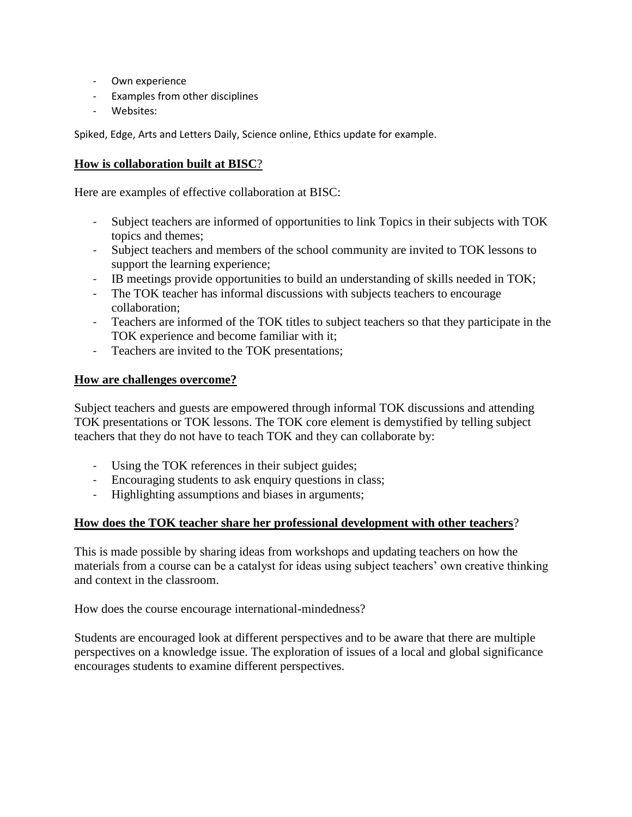- Own experience
- Examples from other disciplines
- Websites:

Spiked, Edge, Arts and Letters Daily, Science online, Ethics update for example.

# **How is collaboration built at BISC**?

Here are examples of effective collaboration at BISC:

- Subject teachers are informed of opportunities to link Topics in their subjects with TOK topics and themes;
- Subject teachers and members of the school community are invited to TOK lessons to support the learning experience;
- IB meetings provide opportunities to build an understanding of skills needed in TOK;
- The TOK teacher has informal discussions with subjects teachers to encourage collaboration;
- Teachers are informed of the TOK titles to subject teachers so that they participate in the TOK experience and become familiar with it;
- Teachers are invited to the TOK presentations;

# **How are challenges overcome?**

Subject teachers and guests are empowered through informal TOK discussions and attending TOK presentations or TOK lessons. The TOK core element is demystified by telling subject teachers that they do not have to teach TOK and they can collaborate by:

- Using the TOK references in their subject guides;
- Encouraging students to ask enquiry questions in class;
- Highlighting assumptions and biases in arguments;

# **How does the TOK teacher share her professional development with other teachers**?

This is made possible by sharing ideas from workshops and updating teachers on how the materials from a course can be a catalyst for ideas using subject teachers' own creative thinking and context in the classroom.

How does the course encourage international-mindedness?

Students are encouraged look at different perspectives and to be aware that there are multiple perspectives on a knowledge issue. The exploration of issues of a local and global significance encourages students to examine different perspectives.